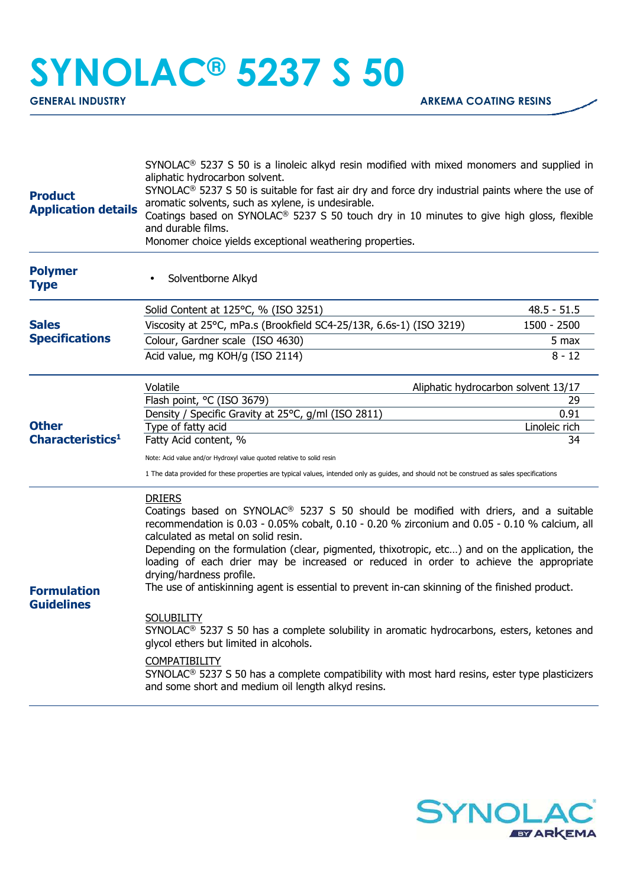## **SYNOLAC® 5237 S 50**

| <b>Product</b><br><b>Application details</b> | SYNOLAC <sup>®</sup> 5237 S 50 is a linoleic alkyd resin modified with mixed monomers and supplied in<br>aliphatic hydrocarbon solvent.<br>SYNOLAC <sup>®</sup> 5237 S 50 is suitable for fast air dry and force dry industrial paints where the use of<br>aromatic solvents, such as xylene, is undesirable.<br>Coatings based on SYNOLAC <sup>®</sup> 5237 S 50 touch dry in 10 minutes to give high gloss, flexible<br>and durable films.<br>Monomer choice yields exceptional weathering properties.                                                                                                                                                                                                                                                                                                                                                                                                                             |                     |  |
|----------------------------------------------|--------------------------------------------------------------------------------------------------------------------------------------------------------------------------------------------------------------------------------------------------------------------------------------------------------------------------------------------------------------------------------------------------------------------------------------------------------------------------------------------------------------------------------------------------------------------------------------------------------------------------------------------------------------------------------------------------------------------------------------------------------------------------------------------------------------------------------------------------------------------------------------------------------------------------------------|---------------------|--|
| <b>Polymer</b><br><b>Type</b>                | Solventborne Alkyd                                                                                                                                                                                                                                                                                                                                                                                                                                                                                                                                                                                                                                                                                                                                                                                                                                                                                                                   |                     |  |
|                                              | Solid Content at 125°C, % (ISO 3251)                                                                                                                                                                                                                                                                                                                                                                                                                                                                                                                                                                                                                                                                                                                                                                                                                                                                                                 | $48.5 - 51.5$       |  |
| <b>Sales</b>                                 | Viscosity at 25°C, mPa.s (Brookfield SC4-25/13R, 6.6s-1) (ISO 3219)                                                                                                                                                                                                                                                                                                                                                                                                                                                                                                                                                                                                                                                                                                                                                                                                                                                                  | 1500 - 2500         |  |
| <b>Specifications</b>                        | Colour, Gardner scale (ISO 4630)                                                                                                                                                                                                                                                                                                                                                                                                                                                                                                                                                                                                                                                                                                                                                                                                                                                                                                     | 5 max               |  |
|                                              | Acid value, mg KOH/g (ISO 2114)                                                                                                                                                                                                                                                                                                                                                                                                                                                                                                                                                                                                                                                                                                                                                                                                                                                                                                      | $8 - 12$            |  |
|                                              | Volatile<br>Aliphatic hydrocarbon solvent 13/17                                                                                                                                                                                                                                                                                                                                                                                                                                                                                                                                                                                                                                                                                                                                                                                                                                                                                      |                     |  |
|                                              | Flash point, °C (ISO 3679)                                                                                                                                                                                                                                                                                                                                                                                                                                                                                                                                                                                                                                                                                                                                                                                                                                                                                                           | 29                  |  |
| <b>Other</b>                                 | Density / Specific Gravity at 25°C, g/ml (ISO 2811)                                                                                                                                                                                                                                                                                                                                                                                                                                                                                                                                                                                                                                                                                                                                                                                                                                                                                  | 0.91                |  |
| Characteristics <sup>1</sup>                 | Type of fatty acid<br>Fatty Acid content, %                                                                                                                                                                                                                                                                                                                                                                                                                                                                                                                                                                                                                                                                                                                                                                                                                                                                                          | Linoleic rich<br>34 |  |
|                                              |                                                                                                                                                                                                                                                                                                                                                                                                                                                                                                                                                                                                                                                                                                                                                                                                                                                                                                                                      |                     |  |
|                                              | Note: Acid value and/or Hydroxyl value quoted relative to solid resin<br>1 The data provided for these properties are typical values, intended only as guides, and should not be construed as sales specifications                                                                                                                                                                                                                                                                                                                                                                                                                                                                                                                                                                                                                                                                                                                   |                     |  |
| <b>Formulation</b><br><b>Guidelines</b>      | <b>DRIERS</b><br>Coatings based on SYNOLAC <sup>®</sup> 5237 S 50 should be modified with driers, and a suitable<br>recommendation is 0.03 - 0.05% cobalt, 0.10 - 0.20 % zirconium and 0.05 - 0.10 % calcium, all<br>calculated as metal on solid resin.<br>Depending on the formulation (clear, pigmented, thixotropic, etc) and on the application, the<br>loading of each drier may be increased or reduced in order to achieve the appropriate<br>drying/hardness profile.<br>The use of antiskinning agent is essential to prevent in-can skinning of the finished product.<br><b>SOLUBILITY</b><br>SYNOLAC <sup>®</sup> 5237 S 50 has a complete solubility in aromatic hydrocarbons, esters, ketones and<br>glycol ethers but limited in alcohols.<br>COMPATIBILITY<br>$SYNOLAC®$ 5237 S 50 has a complete compatibility with most hard resins, ester type plasticizers<br>and some short and medium oil length alkyd resins. |                     |  |